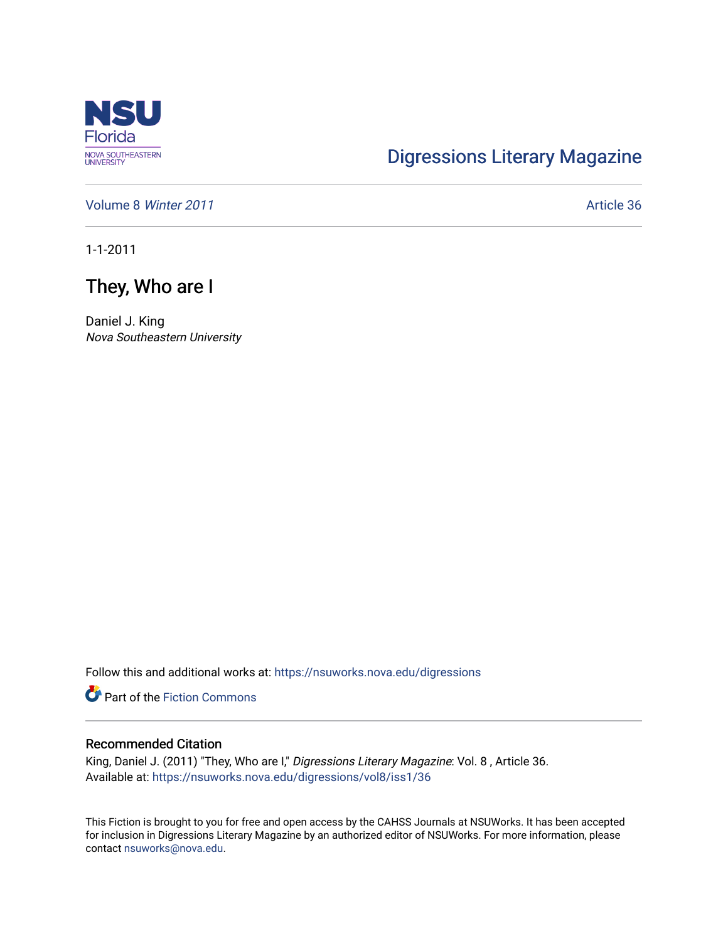

## [Digressions Literary Magazine](https://nsuworks.nova.edu/digressions)

[Volume 8](https://nsuworks.nova.edu/digressions/vol8) Winter 2011 **Article 36** Article 36

1-1-2011

## They, Who are I

Daniel J. King Nova Southeastern University

Follow this and additional works at: [https://nsuworks.nova.edu/digressions](https://nsuworks.nova.edu/digressions?utm_source=nsuworks.nova.edu%2Fdigressions%2Fvol8%2Fiss1%2F36&utm_medium=PDF&utm_campaign=PDFCoverPages) 

**Part of the Fiction Commons** 

## Recommended Citation

King, Daniel J. (2011) "They, Who are I," Digressions Literary Magazine: Vol. 8, Article 36. Available at: [https://nsuworks.nova.edu/digressions/vol8/iss1/36](https://nsuworks.nova.edu/digressions/vol8/iss1/36?utm_source=nsuworks.nova.edu%2Fdigressions%2Fvol8%2Fiss1%2F36&utm_medium=PDF&utm_campaign=PDFCoverPages) 

This Fiction is brought to you for free and open access by the CAHSS Journals at NSUWorks. It has been accepted for inclusion in Digressions Literary Magazine by an authorized editor of NSUWorks. For more information, please contact [nsuworks@nova.edu.](mailto:nsuworks@nova.edu)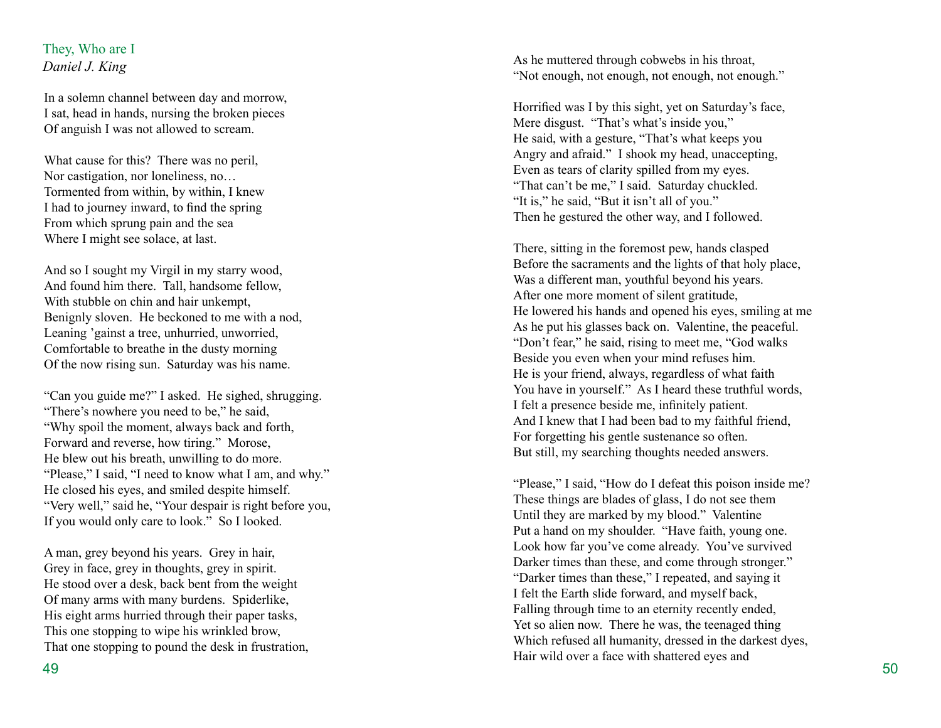## They, Who are I *Daniel J. King*

In a solemn channel between day and morrow, I sat, head in hands, nursing the broken pieces Of anguish I was not allowed to scream.

What cause for this? There was no peril, Nor castigation, nor loneliness, no… Tormented from within, by within, I knew I had to journey inward, to find the spring From which sprung pain and the sea Where I might see solace, at last.

And so I sought my Virgil in my starry wood, And found him there. Tall, handsome fellow, With stubble on chin and hair unkempt, Benignly sloven. He beckoned to me with a nod, Leaning 'gainst a tree, unhurried, unworried, Comfortable to breathe in the dusty morning Of the now rising sun. Saturday was his name.

"Can you guide me?" I asked. He sighed, shrugging. "There's nowhere you need to be," he said, "Why spoil the moment, always back and forth, Forward and reverse, how tiring." Morose, He blew out his breath, unwilling to do more. "Please," I said, "I need to know what I am, and why." He closed his eyes, and smiled despite himself. "Very well," said he, "Your despair is right before you, If you would only care to look." So I looked.

A man, grey beyond his years. Grey in hair, Grey in face, grey in thoughts, grey in spirit. He stood over a desk, back bent from the weight Of many arms with many burdens. Spiderlike, His eight arms hurried through their paper tasks, This one stopping to wipe his wrinkled brow, That one stopping to pound the desk in frustration, As he muttered through cobwebs in his throat, "Not enough, not enough, not enough, not enough."

Horrified was I by this sight, yet on Saturday's face, Mere disgust. "That's what's inside you," He said, with a gesture, "That's what keeps you Angry and afraid." I shook my head, unaccepting, Even as tears of clarity spilled from my eyes. "That can't be me," I said. Saturday chuckled. "It is," he said, "But it isn't all of you." Then he gestured the other way, and I followed.

There, sitting in the foremost pew, hands clasped Before the sacraments and the lights of that holy place, Was a different man, youthful beyond his years. After one more moment of silent gratitude, He lowered his hands and opened his eyes, smiling at me As he put his glasses back on. Valentine, the peaceful. "Don't fear," he said, rising to meet me, "God walks Beside you even when your mind refuses him. He is your friend, always, regardless of what faith You have in yourself." As I heard these truthful words, I felt a presence beside me, infinitely patient. And I knew that I had been bad to my faithful friend, For forgetting his gentle sustenance so often. But still, my searching thoughts needed answers.

"Please," I said, "How do I defeat this poison inside me? These things are blades of glass, I do not see them Until they are marked by my blood." Valentine Put a hand on my shoulder. "Have faith, young one. Look how far you've come already. You've survived Darker times than these, and come through stronger." "Darker times than these," I repeated, and saying it I felt the Earth slide forward, and myself back, Falling through time to an eternity recently ended, Yet so alien now. There he was, the teenaged thing Which refused all humanity, dressed in the darkest dyes, Hair wild over a face with shattered eyes and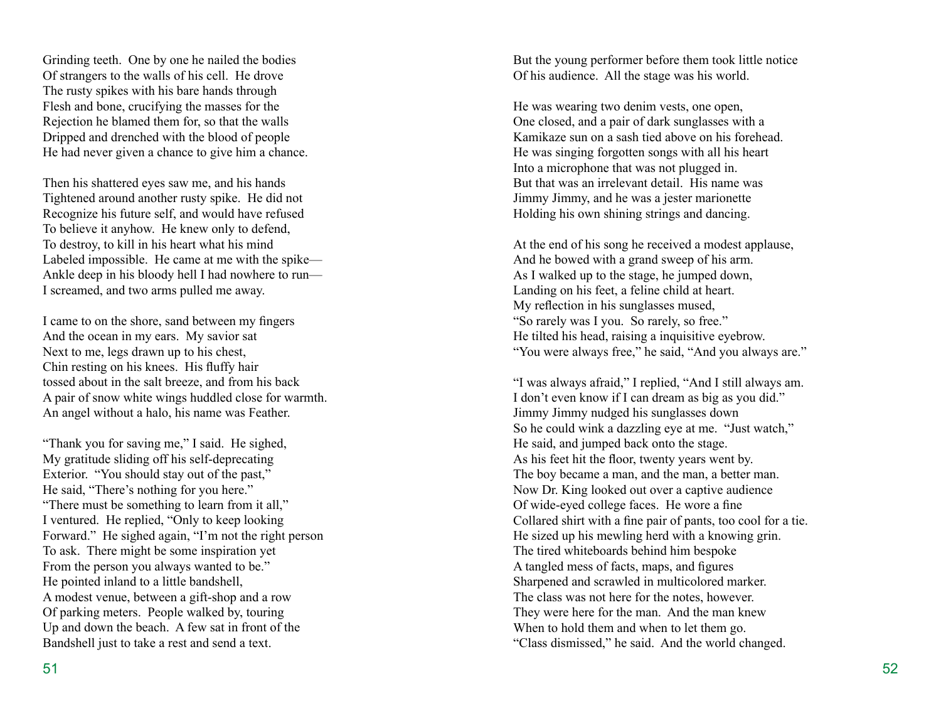Grinding teeth. One by one he nailed the bodies Of strangers to the walls of his cell. He drove The rusty spikes with his bare hands through Flesh and bone, crucifying the masses for the Rejection he blamed them for, so that the walls Dripped and drenched with the blood of people He had never given a chance to give him a chance.

Then his shattered eyes saw me, and his hands Tightened around another rusty spike. He did not Recognize his future self, and would have refused To believe it anyhow. He knew only to defend, To destroy, to kill in his heart what his mind Labeled impossible. He came at me with the spike— Ankle deep in his bloody hell I had nowhere to run— I screamed, and two arms pulled me away.

I came to on the shore, sand between my fingers And the ocean in my ears. My savior sat Next to me, legs drawn up to his chest, Chin resting on his knees. His fluffy hair tossed about in the salt breeze, and from his back A pair of snow white wings huddled close for warmth. An angel without a halo, his name was Feather.

"Thank you for saving me," I said. He sighed, My gratitude sliding off his self-deprecating Exterior. "You should stay out of the past," He said, "There's nothing for you here." "There must be something to learn from it all," I ventured. He replied, "Only to keep looking Forward." He sighed again, "I'm not the right person To ask. There might be some inspiration yet From the person you always wanted to be." He pointed inland to a little bandshell, A modest venue, between a gift-shop and a row Of parking meters. People walked by, touring Up and down the beach. A few sat in front of the Bandshell just to take a rest and send a text.

But the young performer before them took little notice Of his audience. All the stage was his world.

He was wearing two denim vests, one open, One closed, and a pair of dark sunglasses with a Kamikaze sun on a sash tied above on his forehead. He was singing forgotten songs with all his heart Into a microphone that was not plugged in. But that was an irrelevant detail. His name was Jimmy Jimmy, and he was a jester marionette Holding his own shining strings and dancing.

At the end of his song he received a modest applause, And he bowed with a grand sweep of his arm. As I walked up to the stage, he jumped down, Landing on his feet, a feline child at heart. My reflection in his sunglasses mused, "So rarely was I you. So rarely, so free." He tilted his head, raising a inquisitive eyebrow. "You were always free," he said, "And you always are."

"I was always afraid," I replied, "And I still always am. I don't even know if I can dream as big as you did." Jimmy Jimmy nudged his sunglasses down So he could wink a dazzling eye at me. "Just watch," He said, and jumped back onto the stage. As his feet hit the floor, twenty years went by. The boy became a man, and the man, a better man. Now Dr. King looked out over a captive audience Of wide-eyed college faces. He wore a fine Collared shirt with a fine pair of pants, too cool for a tie. He sized up his mewling herd with a knowing grin. The tired whiteboards behind him bespoke A tangled mess of facts, maps, and figures Sharpened and scrawled in multicolored marker. The class was not here for the notes, however. They were here for the man. And the man knew When to hold them and when to let them go. "Class dismissed," he said. And the world changed.